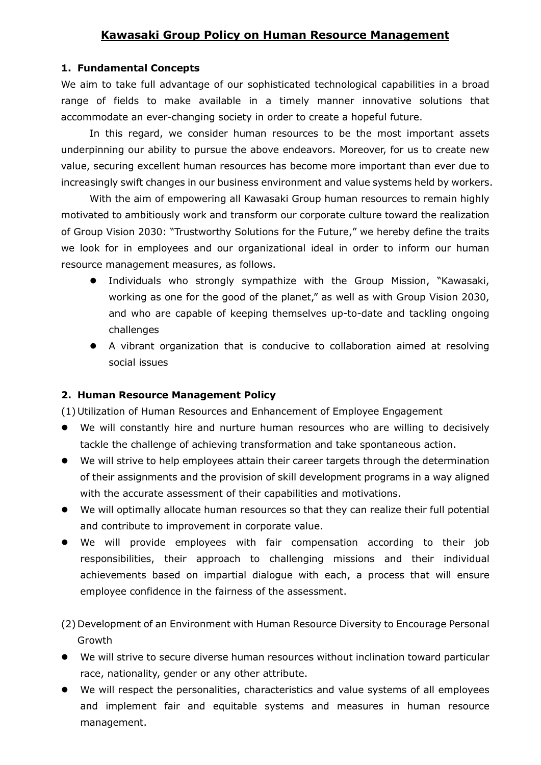## **Kawasaki Group Policy on Human Resource Management**

## **1. Fundamental Concepts**

We aim to take full advantage of our sophisticated technological capabilities in a broad range of fields to make available in a timely manner innovative solutions that accommodate an ever-changing society in order to create a hopeful future.

In this regard, we consider human resources to be the most important assets underpinning our ability to pursue the above endeavors. Moreover, for us to create new value, securing excellent human resources has become more important than ever due to increasingly swift changes in our business environment and value systems held by workers.

With the aim of empowering all Kawasaki Group human resources to remain highly motivated to ambitiously work and transform our corporate culture toward the realization of Group Vision 2030: "Trustworthy Solutions for the Future," we hereby define the traits we look for in employees and our organizational ideal in order to inform our human resource management measures, as follows.

- Individuals who strongly sympathize with the Group Mission, "Kawasaki, working as one for the good of the planet," as well as with Group Vision 2030, and who are capable of keeping themselves up-to-date and tackling ongoing challenges
- A vibrant organization that is conducive to collaboration aimed at resolving social issues

## **2. Human Resource Management Policy**

(1) Utilization of Human Resources and Enhancement of Employee Engagement

- We will constantly hire and nurture human resources who are willing to decisively tackle the challenge of achieving transformation and take spontaneous action.
- We will strive to help employees attain their career targets through the determination of their assignments and the provision of skill development programs in a way aligned with the accurate assessment of their capabilities and motivations.
- We will optimally allocate human resources so that they can realize their full potential and contribute to improvement in corporate value.
- We will provide employees with fair compensation according to their job responsibilities, their approach to challenging missions and their individual achievements based on impartial dialogue with each, a process that will ensure employee confidence in the fairness of the assessment.
- (2) Development of an Environment with Human Resource Diversity to Encourage Personal Growth
- We will strive to secure diverse human resources without inclination toward particular race, nationality, gender or any other attribute.
- We will respect the personalities, characteristics and value systems of all employees and implement fair and equitable systems and measures in human resource management.